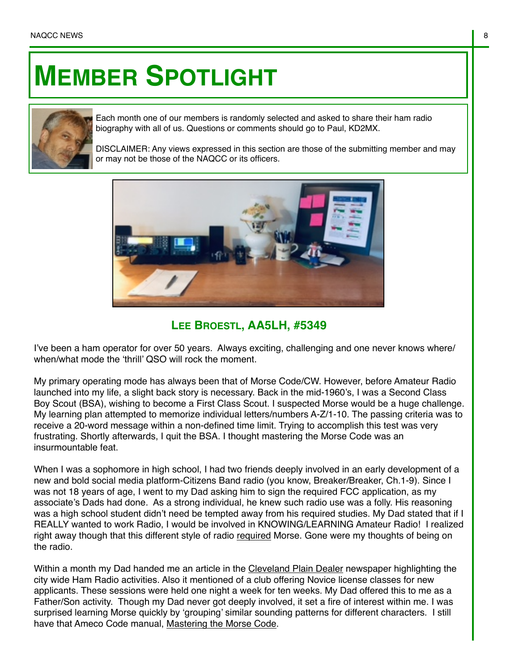## **MEMBER SPOTLIGHT**



Each month one of our members is randomly selected and asked to share their ham radio biography with all of us. Questions or comments should go to Paul, KD2MX.

DISCLAIMER: Any views expressed in this section are those of the submitting member and may or may not be those of the NAQCC or its officers.



## **LEE BROESTL, AA5LH, #5349**

I've been a ham operator for over 50 years. Always exciting, challenging and one never knows where/ when/what mode the 'thrill' QSO will rock the moment.

My primary operating mode has always been that of Morse Code/CW. However, before Amateur Radio launched into my life, a slight back story is necessary. Back in the mid-1960's, I was a Second Class Boy Scout (BSA), wishing to become a First Class Scout. I suspected Morse would be a huge challenge. My learning plan attempted to memorize individual letters/numbers A-Z/1-10. The passing criteria was to receive a 20-word message within a non-defined time limit. Trying to accomplish this test was very frustrating. Shortly afterwards, I quit the BSA. I thought mastering the Morse Code was an insurmountable feat.

When I was a sophomore in high school, I had two friends deeply involved in an early development of a new and bold social media platform-Citizens Band radio (you know, Breaker/Breaker, Ch.1-9). Since I was not 18 years of age, I went to my Dad asking him to sign the required FCC application, as my associate's Dads had done. As a strong individual, he knew such radio use was a folly. His reasoning was a high school student didn't need be tempted away from his required studies. My Dad stated that if I REALLY wanted to work Radio, I would be involved in KNOWING/LEARNING Amateur Radio! I realized right away though that this different style of radio required Morse. Gone were my thoughts of being on the radio.

Within a month my Dad handed me an article in the Cleveland Plain Dealer newspaper highlighting the city wide Ham Radio activities. Also it mentioned of a club offering Novice license classes for new applicants. These sessions were held one night a week for ten weeks. My Dad offered this to me as a Father/Son activity. Though my Dad never got deeply involved, it set a fire of interest within me. I was surprised learning Morse quickly by 'grouping' similar sounding patterns for different characters. I still have that Ameco Code manual, Mastering the Morse Code.